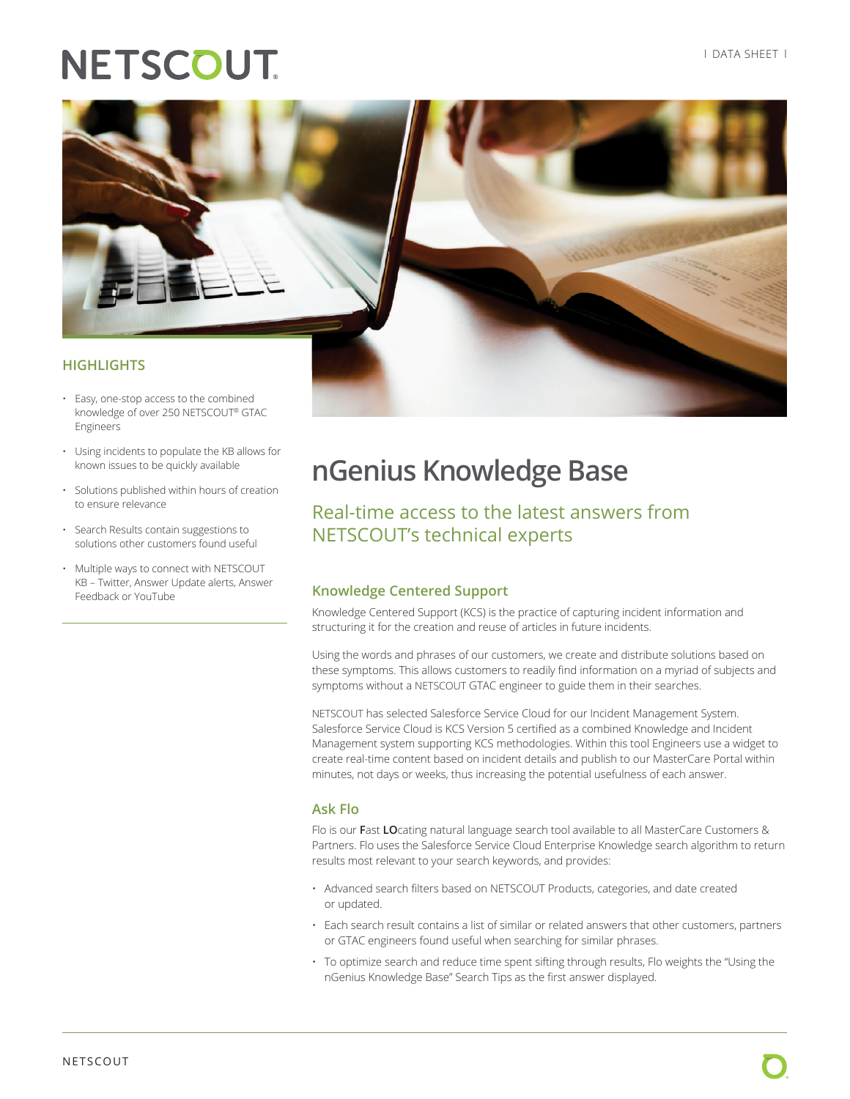# **NETSCOUT**



- Using incidents to populate the KB allows for known issues to be quickly available
- Solutions published within hours of creation to ensure relevance
- Search Results contain suggestions to solutions other customers found useful
- Multiple ways to connect with NETSCOUT KB – Twitter, Answer Update alerts, Answer Feedback or YouTube

# **nGenius Knowledge Base**

Real-time access to the latest answers from NETSCOUT's technical experts

### **Knowledge Centered Support**

Knowledge Centered Support (KCS) is the practice of capturing incident information and structuring it for the creation and reuse of articles in future incidents.

Using the words and phrases of our customers, we create and distribute solutions based on these symptoms. This allows customers to readily find information on a myriad of subjects and symptoms without a NETSCOUT GTAC engineer to guide them in their searches.

NETSCOUT has selected Salesforce Service Cloud for our Incident Management System. Salesforce Service Cloud is KCS Version 5 certified as a combined Knowledge and Incident Management system supporting KCS methodologies. Within this tool Engineers use a widget to create real-time content based on incident details and publish to our MasterCare Portal within minutes, not days or weeks, thus increasing the potential usefulness of each answer.

### **Ask Flo**

Flo is our **F**ast **LO**cating natural language search tool available to all MasterCare Customers & Partners. Flo uses the Salesforce Service Cloud Enterprise Knowledge search algorithm to return results most relevant to your search keywords, and provides:

- Advanced search filters based on NETSCOUT Products, categories, and date created or updated.
- Each search result contains a list of similar or related answers that other customers, partners or GTAC engineers found useful when searching for similar phrases.
- To optimize search and reduce time spent sifting through results, Flo weights the "Using the nGenius Knowledge Base" Search Tips as the first answer displayed.